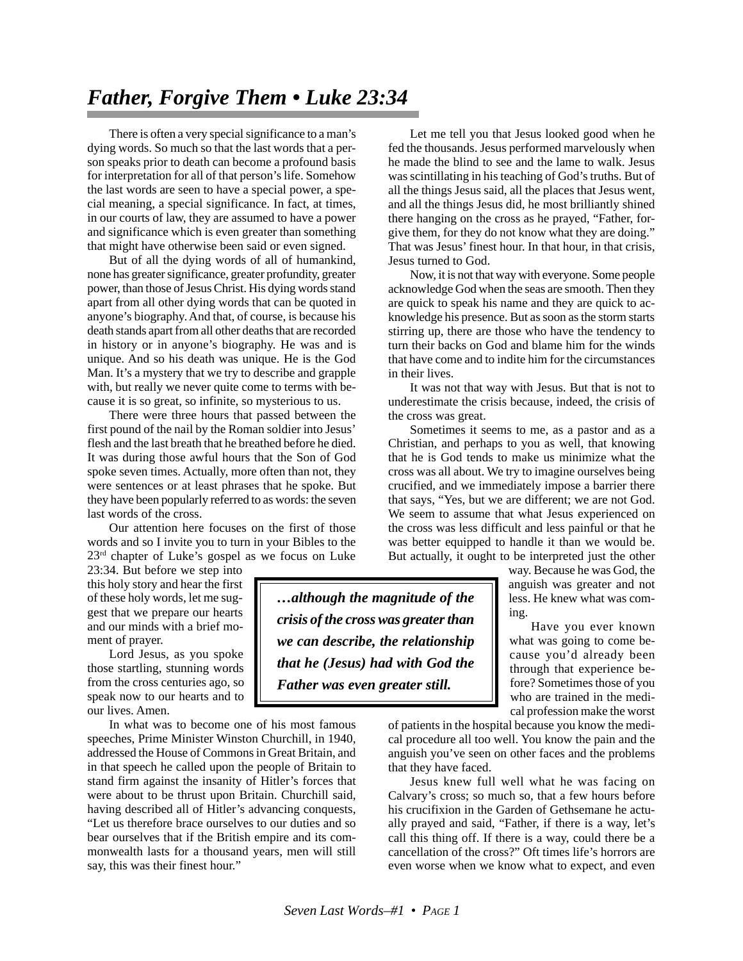## *Father, Forgive Them • Luke 23:34*

There is often a very special significance to a man's dying words. So much so that the last words that a person speaks prior to death can become a profound basis for interpretation for all of that person's life. Somehow the last words are seen to have a special power, a special meaning, a special significance. In fact, at times, in our courts of law, they are assumed to have a power and significance which is even greater than something that might have otherwise been said or even signed.

But of all the dying words of all of humankind, none has greater significance, greater profundity, greater power, than those of Jesus Christ. His dying words stand apart from all other dying words that can be quoted in anyone's biography. And that, of course, is because his death stands apart from all other deaths that are recorded in history or in anyone's biography. He was and is unique. And so his death was unique. He is the God Man. It's a mystery that we try to describe and grapple with, but really we never quite come to terms with because it is so great, so infinite, so mysterious to us.

There were three hours that passed between the first pound of the nail by the Roman soldier into Jesus' flesh and the last breath that he breathed before he died. It was during those awful hours that the Son of God spoke seven times. Actually, more often than not, they were sentences or at least phrases that he spoke. But they have been popularly referred to as words: the seven last words of the cross.

Our attention here focuses on the first of those words and so I invite you to turn in your Bibles to the  $23<sup>rd</sup>$  chapter of Luke's gospel as we focus on Luke

23:34. But before we step into this holy story and hear the first of these holy words, let me suggest that we prepare our hearts and our minds with a brief moment of prayer.

Lord Jesus, as you spoke those startling, stunning words from the cross centuries ago, so speak now to our hearts and to our lives. Amen.

In what was to become one of his most famous speeches, Prime Minister Winston Churchill, in 1940, addressed the House of Commons in Great Britain, and in that speech he called upon the people of Britain to stand firm against the insanity of Hitler's forces that were about to be thrust upon Britain. Churchill said, having described all of Hitler's advancing conquests, "Let us therefore brace ourselves to our duties and so bear ourselves that if the British empire and its commonwealth lasts for a thousand years, men will still say, this was their finest hour."

Let me tell you that Jesus looked good when he fed the thousands. Jesus performed marvelously when he made the blind to see and the lame to walk. Jesus was scintillating in his teaching of God's truths. But of all the things Jesus said, all the places that Jesus went, and all the things Jesus did, he most brilliantly shined there hanging on the cross as he prayed, "Father, forgive them, for they do not know what they are doing." That was Jesus' finest hour. In that hour, in that crisis, Jesus turned to God.

Now, it is not that way with everyone. Some people acknowledge God when the seas are smooth. Then they are quick to speak his name and they are quick to acknowledge his presence. But as soon as the storm starts stirring up, there are those who have the tendency to turn their backs on God and blame him for the winds that have come and to indite him for the circumstances in their lives.

It was not that way with Jesus. But that is not to underestimate the crisis because, indeed, the crisis of the cross was great.

Sometimes it seems to me, as a pastor and as a Christian, and perhaps to you as well, that knowing that he is God tends to make us minimize what the cross was all about. We try to imagine ourselves being crucified, and we immediately impose a barrier there that says, "Yes, but we are different; we are not God. We seem to assume that what Jesus experienced on the cross was less difficult and less painful or that he was better equipped to handle it than we would be. But actually, it ought to be interpreted just the other

*…although the magnitude of the crisis of the cross was greater than we can describe, the relationship that he (Jesus) had with God the Father was even greater still.*

way. Because he was God, the anguish was greater and not less. He knew what was coming.

Have you ever known what was going to come because you'd already been through that experience before? Sometimes those of you who are trained in the medical profession make the worst

of patients in the hospital because you know the medical procedure all too well. You know the pain and the anguish you've seen on other faces and the problems that they have faced.

Jesus knew full well what he was facing on Calvary's cross; so much so, that a few hours before his crucifixion in the Garden of Gethsemane he actually prayed and said, "Father, if there is a way, let's call this thing off. If there is a way, could there be a cancellation of the cross?" Oft times life's horrors are even worse when we know what to expect, and even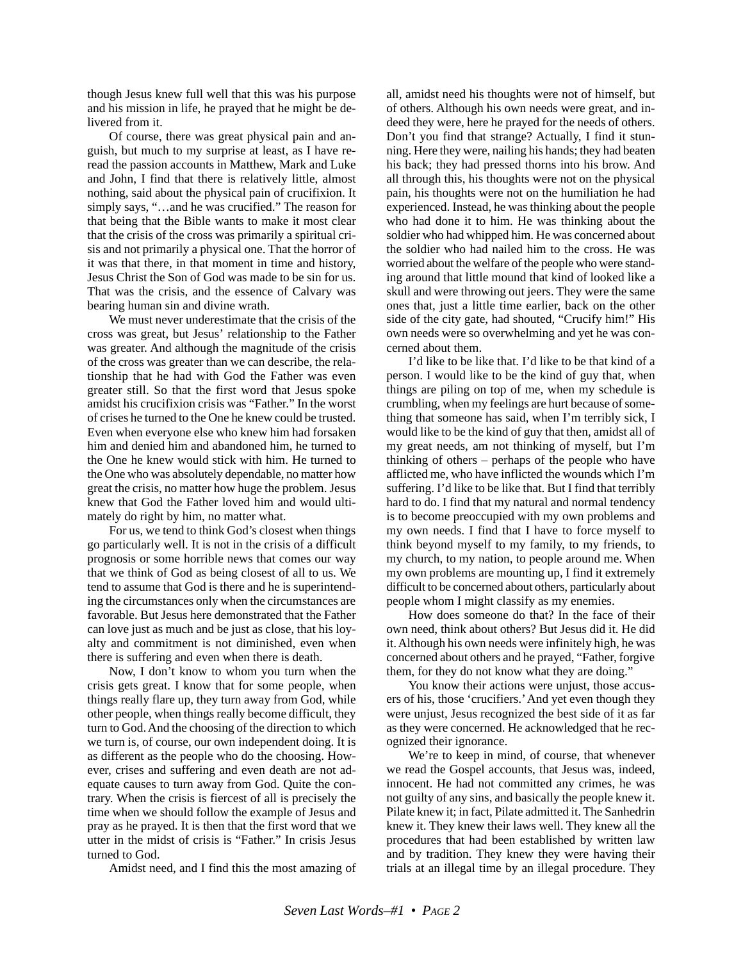though Jesus knew full well that this was his purpose and his mission in life, he prayed that he might be delivered from it.

Of course, there was great physical pain and anguish, but much to my surprise at least, as I have reread the passion accounts in Matthew, Mark and Luke and John, I find that there is relatively little, almost nothing, said about the physical pain of crucifixion. It simply says, "…and he was crucified." The reason for that being that the Bible wants to make it most clear that the crisis of the cross was primarily a spiritual crisis and not primarily a physical one. That the horror of it was that there, in that moment in time and history, Jesus Christ the Son of God was made to be sin for us. That was the crisis, and the essence of Calvary was bearing human sin and divine wrath.

We must never underestimate that the crisis of the cross was great, but Jesus' relationship to the Father was greater. And although the magnitude of the crisis of the cross was greater than we can describe, the relationship that he had with God the Father was even greater still. So that the first word that Jesus spoke amidst his crucifixion crisis was "Father." In the worst of crises he turned to the One he knew could be trusted. Even when everyone else who knew him had forsaken him and denied him and abandoned him, he turned to the One he knew would stick with him. He turned to the One who was absolutely dependable, no matter how great the crisis, no matter how huge the problem. Jesus knew that God the Father loved him and would ultimately do right by him, no matter what.

For us, we tend to think God's closest when things go particularly well. It is not in the crisis of a difficult prognosis or some horrible news that comes our way that we think of God as being closest of all to us. We tend to assume that God is there and he is superintending the circumstances only when the circumstances are favorable. But Jesus here demonstrated that the Father can love just as much and be just as close, that his loyalty and commitment is not diminished, even when there is suffering and even when there is death.

Now, I don't know to whom you turn when the crisis gets great. I know that for some people, when things really flare up, they turn away from God, while other people, when things really become difficult, they turn to God. And the choosing of the direction to which we turn is, of course, our own independent doing. It is as different as the people who do the choosing. However, crises and suffering and even death are not adequate causes to turn away from God. Quite the contrary. When the crisis is fiercest of all is precisely the time when we should follow the example of Jesus and pray as he prayed. It is then that the first word that we utter in the midst of crisis is "Father." In crisis Jesus turned to God.

Amidst need, and I find this the most amazing of

all, amidst need his thoughts were not of himself, but of others. Although his own needs were great, and indeed they were, here he prayed for the needs of others. Don't you find that strange? Actually, I find it stunning. Here they were, nailing his hands; they had beaten his back; they had pressed thorns into his brow. And all through this, his thoughts were not on the physical pain, his thoughts were not on the humiliation he had experienced. Instead, he was thinking about the people who had done it to him. He was thinking about the soldier who had whipped him. He was concerned about the soldier who had nailed him to the cross. He was worried about the welfare of the people who were standing around that little mound that kind of looked like a skull and were throwing out jeers. They were the same ones that, just a little time earlier, back on the other side of the city gate, had shouted, "Crucify him!" His own needs were so overwhelming and yet he was concerned about them.

I'd like to be like that. I'd like to be that kind of a person. I would like to be the kind of guy that, when things are piling on top of me, when my schedule is crumbling, when my feelings are hurt because of something that someone has said, when I'm terribly sick, I would like to be the kind of guy that then, amidst all of my great needs, am not thinking of myself, but I'm thinking of others – perhaps of the people who have afflicted me, who have inflicted the wounds which I'm suffering. I'd like to be like that. But I find that terribly hard to do. I find that my natural and normal tendency is to become preoccupied with my own problems and my own needs. I find that I have to force myself to think beyond myself to my family, to my friends, to my church, to my nation, to people around me. When my own problems are mounting up, I find it extremely difficult to be concerned about others, particularly about people whom I might classify as my enemies.

How does someone do that? In the face of their own need, think about others? But Jesus did it. He did it. Although his own needs were infinitely high, he was concerned about others and he prayed, "Father, forgive them, for they do not know what they are doing."

You know their actions were unjust, those accusers of his, those 'crucifiers.' And yet even though they were unjust, Jesus recognized the best side of it as far as they were concerned. He acknowledged that he recognized their ignorance.

We're to keep in mind, of course, that whenever we read the Gospel accounts, that Jesus was, indeed, innocent. He had not committed any crimes, he was not guilty of any sins, and basically the people knew it. Pilate knew it; in fact, Pilate admitted it. The Sanhedrin knew it. They knew their laws well. They knew all the procedures that had been established by written law and by tradition. They knew they were having their trials at an illegal time by an illegal procedure. They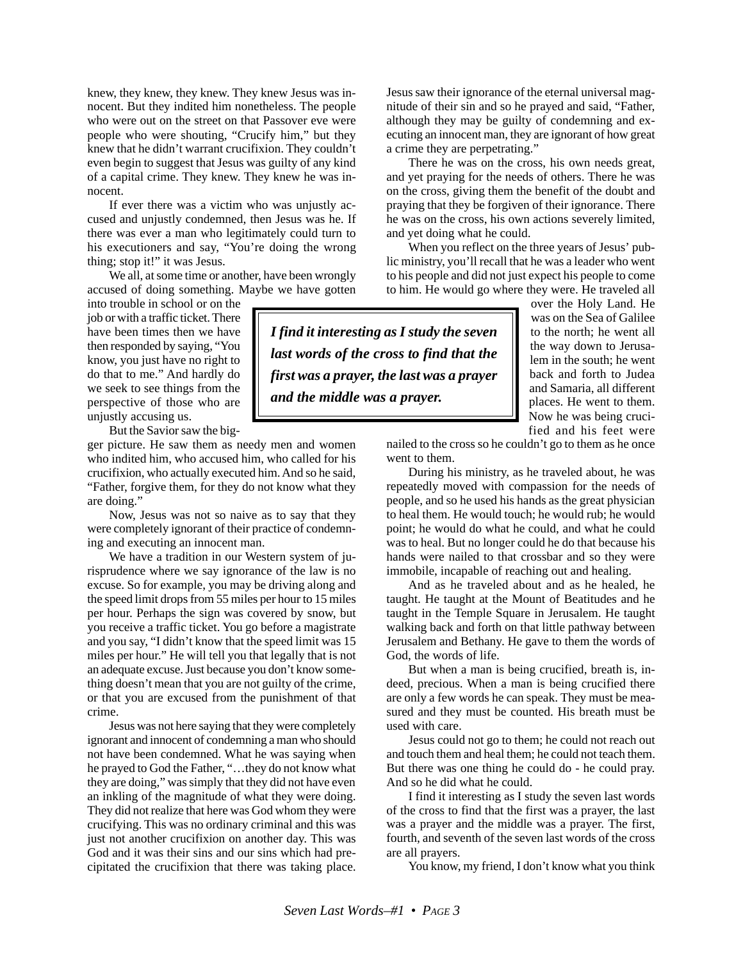knew, they knew, they knew. They knew Jesus was innocent. But they indited him nonetheless. The people who were out on the street on that Passover eve were people who were shouting, "Crucify him," but they knew that he didn't warrant crucifixion. They couldn't even begin to suggest that Jesus was guilty of any kind of a capital crime. They knew. They knew he was innocent.

If ever there was a victim who was unjustly accused and unjustly condemned, then Jesus was he. If there was ever a man who legitimately could turn to his executioners and say, "You're doing the wrong thing; stop it!" it was Jesus.

We all, at some time or another, have been wrongly accused of doing something. Maybe we have gotten

into trouble in school or on the job or with a traffic ticket. There have been times then we have then responded by saying, "You know, you just have no right to do that to me." And hardly do we seek to see things from the perspective of those who are unjustly accusing us.

But the Savior saw the big-

ger picture. He saw them as needy men and women who indited him, who accused him, who called for his crucifixion, who actually executed him. And so he said, "Father, forgive them, for they do not know what they are doing."

Now, Jesus was not so naive as to say that they were completely ignorant of their practice of condemning and executing an innocent man.

We have a tradition in our Western system of jurisprudence where we say ignorance of the law is no excuse. So for example, you may be driving along and the speed limit drops from 55 miles per hour to 15 miles per hour. Perhaps the sign was covered by snow, but you receive a traffic ticket. You go before a magistrate and you say, "I didn't know that the speed limit was 15 miles per hour." He will tell you that legally that is not an adequate excuse. Just because you don't know something doesn't mean that you are not guilty of the crime, or that you are excused from the punishment of that crime.

Jesus was not here saying that they were completely ignorant and innocent of condemning a man who should not have been condemned. What he was saying when he prayed to God the Father, "…they do not know what they are doing," was simply that they did not have even an inkling of the magnitude of what they were doing. They did not realize that here was God whom they were crucifying. This was no ordinary criminal and this was just not another crucifixion on another day. This was God and it was their sins and our sins which had precipitated the crucifixion that there was taking place. Jesus saw their ignorance of the eternal universal magnitude of their sin and so he prayed and said, "Father, although they may be guilty of condemning and executing an innocent man, they are ignorant of how great a crime they are perpetrating."

There he was on the cross, his own needs great, and yet praying for the needs of others. There he was on the cross, giving them the benefit of the doubt and praying that they be forgiven of their ignorance. There he was on the cross, his own actions severely limited, and yet doing what he could.

When you reflect on the three years of Jesus' public ministry, you'll recall that he was a leader who went to his people and did not just expect his people to come to him. He would go where they were. He traveled all

*I find it interesting as I study the seven last words of the cross to find that the first was a prayer, the last was a prayer and the middle was a prayer.*

over the Holy Land. He was on the Sea of Galilee to the north; he went all the way down to Jerusalem in the south; he went back and forth to Judea and Samaria, all different places. He went to them. Now he was being crucified and his feet were

nailed to the cross so he couldn't go to them as he once went to them.

During his ministry, as he traveled about, he was repeatedly moved with compassion for the needs of people, and so he used his hands as the great physician to heal them. He would touch; he would rub; he would point; he would do what he could, and what he could was to heal. But no longer could he do that because his hands were nailed to that crossbar and so they were immobile, incapable of reaching out and healing.

And as he traveled about and as he healed, he taught. He taught at the Mount of Beatitudes and he taught in the Temple Square in Jerusalem. He taught walking back and forth on that little pathway between Jerusalem and Bethany. He gave to them the words of God, the words of life.

But when a man is being crucified, breath is, indeed, precious. When a man is being crucified there are only a few words he can speak. They must be measured and they must be counted. His breath must be used with care.

Jesus could not go to them; he could not reach out and touch them and heal them; he could not teach them. But there was one thing he could do - he could pray. And so he did what he could.

I find it interesting as I study the seven last words of the cross to find that the first was a prayer, the last was a prayer and the middle was a prayer. The first, fourth, and seventh of the seven last words of the cross are all prayers.

You know, my friend, I don't know what you think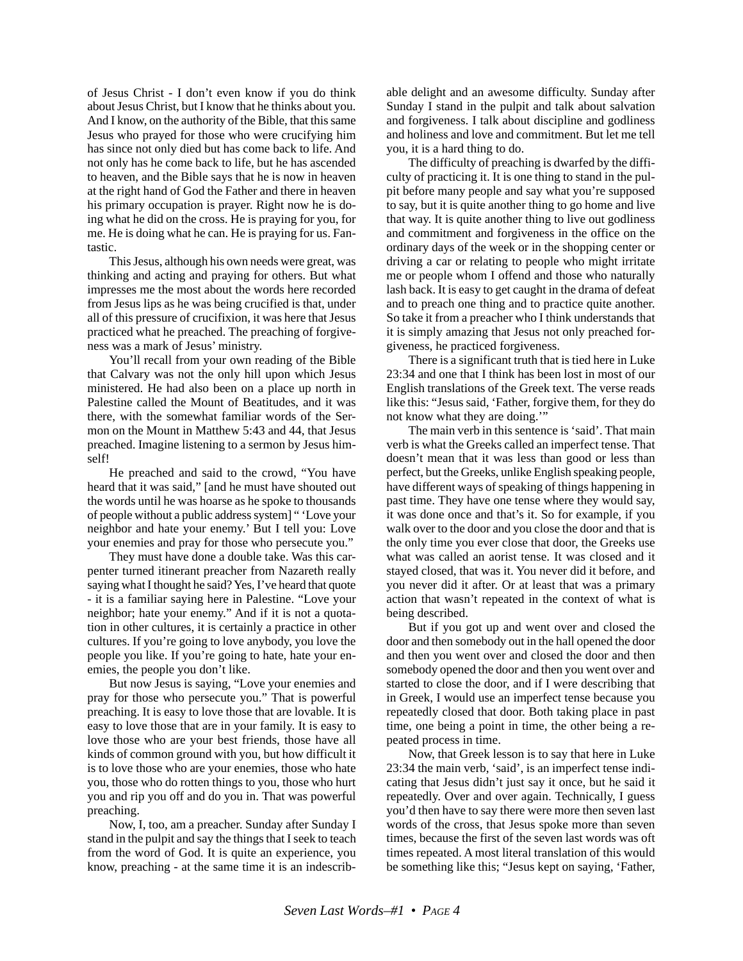of Jesus Christ - I don't even know if you do think about Jesus Christ, but I know that he thinks about you. And I know, on the authority of the Bible, that this same Jesus who prayed for those who were crucifying him has since not only died but has come back to life. And not only has he come back to life, but he has ascended to heaven, and the Bible says that he is now in heaven at the right hand of God the Father and there in heaven his primary occupation is prayer. Right now he is doing what he did on the cross. He is praying for you, for me. He is doing what he can. He is praying for us. Fantastic.

This Jesus, although his own needs were great, was thinking and acting and praying for others. But what impresses me the most about the words here recorded from Jesus lips as he was being crucified is that, under all of this pressure of crucifixion, it was here that Jesus practiced what he preached. The preaching of forgiveness was a mark of Jesus' ministry.

You'll recall from your own reading of the Bible that Calvary was not the only hill upon which Jesus ministered. He had also been on a place up north in Palestine called the Mount of Beatitudes, and it was there, with the somewhat familiar words of the Sermon on the Mount in Matthew 5:43 and 44, that Jesus preached. Imagine listening to a sermon by Jesus himself!

He preached and said to the crowd, "You have heard that it was said," [and he must have shouted out the words until he was hoarse as he spoke to thousands of people without a public address system] " 'Love your neighbor and hate your enemy.' But I tell you: Love your enemies and pray for those who persecute you."

They must have done a double take. Was this carpenter turned itinerant preacher from Nazareth really saying what I thought he said? Yes, I've heard that quote - it is a familiar saying here in Palestine. "Love your neighbor; hate your enemy." And if it is not a quotation in other cultures, it is certainly a practice in other cultures. If you're going to love anybody, you love the people you like. If you're going to hate, hate your enemies, the people you don't like.

But now Jesus is saying, "Love your enemies and pray for those who persecute you." That is powerful preaching. It is easy to love those that are lovable. It is easy to love those that are in your family. It is easy to love those who are your best friends, those have all kinds of common ground with you, but how difficult it is to love those who are your enemies, those who hate you, those who do rotten things to you, those who hurt you and rip you off and do you in. That was powerful preaching.

Now, I, too, am a preacher. Sunday after Sunday I stand in the pulpit and say the things that I seek to teach from the word of God. It is quite an experience, you know, preaching - at the same time it is an indescribable delight and an awesome difficulty. Sunday after Sunday I stand in the pulpit and talk about salvation and forgiveness. I talk about discipline and godliness and holiness and love and commitment. But let me tell you, it is a hard thing to do.

The difficulty of preaching is dwarfed by the difficulty of practicing it. It is one thing to stand in the pulpit before many people and say what you're supposed to say, but it is quite another thing to go home and live that way. It is quite another thing to live out godliness and commitment and forgiveness in the office on the ordinary days of the week or in the shopping center or driving a car or relating to people who might irritate me or people whom I offend and those who naturally lash back. It is easy to get caught in the drama of defeat and to preach one thing and to practice quite another. So take it from a preacher who I think understands that it is simply amazing that Jesus not only preached forgiveness, he practiced forgiveness.

There is a significant truth that is tied here in Luke 23:34 and one that I think has been lost in most of our English translations of the Greek text. The verse reads like this: "Jesus said, 'Father, forgive them, for they do not know what they are doing.'"

The main verb in this sentence is 'said'. That main verb is what the Greeks called an imperfect tense. That doesn't mean that it was less than good or less than perfect, but the Greeks, unlike English speaking people, have different ways of speaking of things happening in past time. They have one tense where they would say, it was done once and that's it. So for example, if you walk over to the door and you close the door and that is the only time you ever close that door, the Greeks use what was called an aorist tense. It was closed and it stayed closed, that was it. You never did it before, and you never did it after. Or at least that was a primary action that wasn't repeated in the context of what is being described.

But if you got up and went over and closed the door and then somebody out in the hall opened the door and then you went over and closed the door and then somebody opened the door and then you went over and started to close the door, and if I were describing that in Greek, I would use an imperfect tense because you repeatedly closed that door. Both taking place in past time, one being a point in time, the other being a repeated process in time.

Now, that Greek lesson is to say that here in Luke 23:34 the main verb, 'said', is an imperfect tense indicating that Jesus didn't just say it once, but he said it repeatedly. Over and over again. Technically, I guess you'd then have to say there were more then seven last words of the cross, that Jesus spoke more than seven times, because the first of the seven last words was oft times repeated. A most literal translation of this would be something like this; "Jesus kept on saying, 'Father,